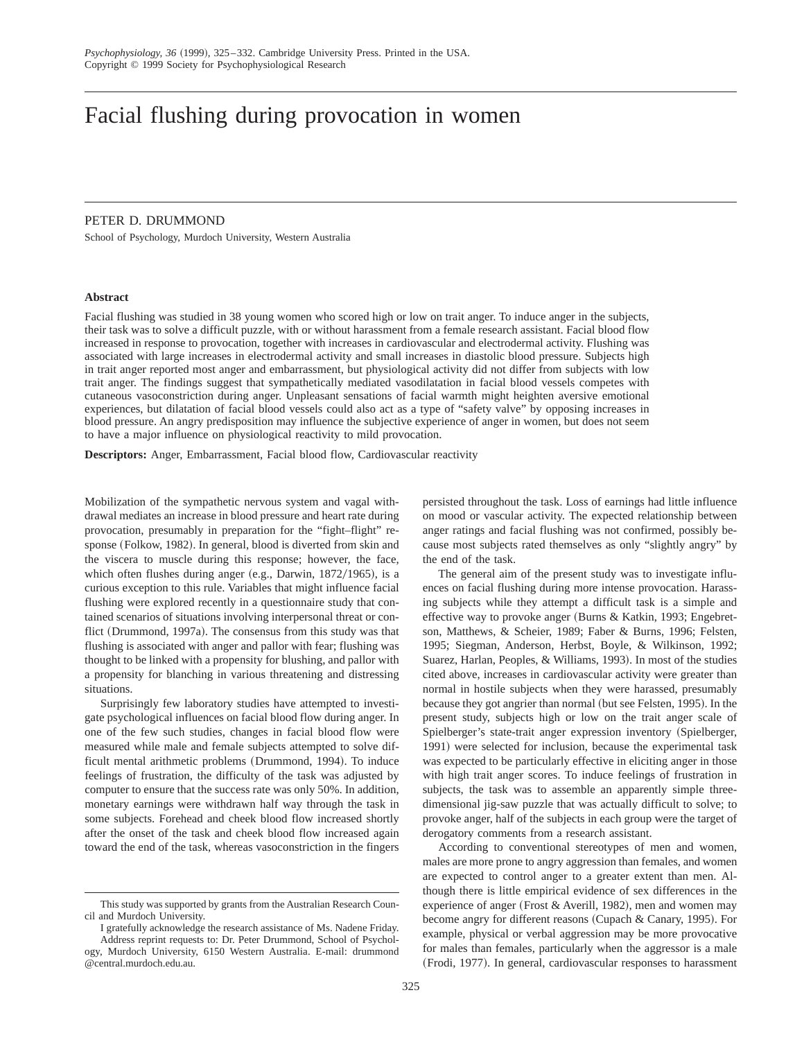# Facial flushing during provocation in women

# PETER D. DRUMMOND

School of Psychology, Murdoch University, Western Australia

## **Abstract**

Facial flushing was studied in 38 young women who scored high or low on trait anger. To induce anger in the subjects, their task was to solve a difficult puzzle, with or without harassment from a female research assistant. Facial blood flow increased in response to provocation, together with increases in cardiovascular and electrodermal activity. Flushing was associated with large increases in electrodermal activity and small increases in diastolic blood pressure. Subjects high in trait anger reported most anger and embarrassment, but physiological activity did not differ from subjects with low trait anger. The findings suggest that sympathetically mediated vasodilatation in facial blood vessels competes with cutaneous vasoconstriction during anger. Unpleasant sensations of facial warmth might heighten aversive emotional experiences, but dilatation of facial blood vessels could also act as a type of "safety valve" by opposing increases in blood pressure. An angry predisposition may influence the subjective experience of anger in women, but does not seem to have a major influence on physiological reactivity to mild provocation.

**Descriptors:** Anger, Embarrassment, Facial blood flow, Cardiovascular reactivity

Mobilization of the sympathetic nervous system and vagal withdrawal mediates an increase in blood pressure and heart rate during provocation, presumably in preparation for the "fight–flight" response (Folkow, 1982). In general, blood is diverted from skin and the viscera to muscle during this response; however, the face, which often flushes during anger  $(e.g.,$  Darwin,  $1872/1965)$ , is a curious exception to this rule. Variables that might influence facial flushing were explored recently in a questionnaire study that contained scenarios of situations involving interpersonal threat or conflict (Drummond, 1997a). The consensus from this study was that flushing is associated with anger and pallor with fear; flushing was thought to be linked with a propensity for blushing, and pallor with a propensity for blanching in various threatening and distressing situations.

Surprisingly few laboratory studies have attempted to investigate psychological influences on facial blood flow during anger. In one of the few such studies, changes in facial blood flow were measured while male and female subjects attempted to solve difficult mental arithmetic problems (Drummond, 1994). To induce feelings of frustration, the difficulty of the task was adjusted by computer to ensure that the success rate was only 50%. In addition, monetary earnings were withdrawn half way through the task in some subjects. Forehead and cheek blood flow increased shortly after the onset of the task and cheek blood flow increased again toward the end of the task, whereas vasoconstriction in the fingers

persisted throughout the task. Loss of earnings had little influence on mood or vascular activity. The expected relationship between anger ratings and facial flushing was not confirmed, possibly because most subjects rated themselves as only "slightly angry" by the end of the task.

The general aim of the present study was to investigate influences on facial flushing during more intense provocation. Harassing subjects while they attempt a difficult task is a simple and effective way to provoke anger (Burns & Katkin, 1993; Engebretson, Matthews, & Scheier, 1989; Faber & Burns, 1996; Felsten, 1995; Siegman, Anderson, Herbst, Boyle, & Wilkinson, 1992; Suarez, Harlan, Peoples, & Williams, 1993). In most of the studies cited above, increases in cardiovascular activity were greater than normal in hostile subjects when they were harassed, presumably because they got angrier than normal (but see Felsten, 1995). In the present study, subjects high or low on the trait anger scale of Spielberger's state-trait anger expression inventory (Spielberger, 1991) were selected for inclusion, because the experimental task was expected to be particularly effective in eliciting anger in those with high trait anger scores. To induce feelings of frustration in subjects, the task was to assemble an apparently simple threedimensional jig-saw puzzle that was actually difficult to solve; to provoke anger, half of the subjects in each group were the target of derogatory comments from a research assistant.

According to conventional stereotypes of men and women, males are more prone to angry aggression than females, and women are expected to control anger to a greater extent than men. Although there is little empirical evidence of sex differences in the experience of anger (Frost & Averill, 1982), men and women may become angry for different reasons (Cupach  $&$  Canary, 1995). For example, physical or verbal aggression may be more provocative for males than females, particularly when the aggressor is a male (Frodi, 1977). In general, cardiovascular responses to harassment

This study was supported by grants from the Australian Research Council and Murdoch University.

I gratefully acknowledge the research assistance of Ms. Nadene Friday. Address reprint requests to: Dr. Peter Drummond, School of Psychology, Murdoch University, 6150 Western Australia. E-mail: drummond @central.murdoch.edu.au.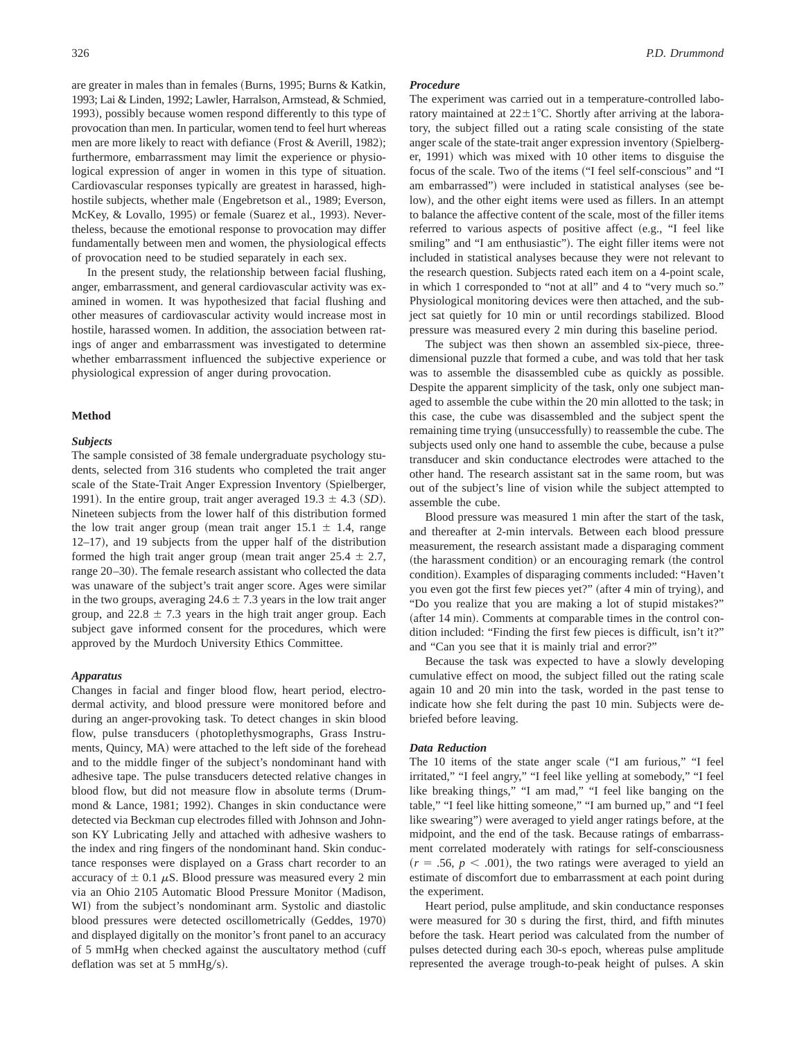are greater in males than in females (Burns, 1995; Burns & Katkin, 1993; Lai & Linden, 1992; Lawler, Harralson, Armstead, & Schmied, 1993), possibly because women respond differently to this type of provocation than men. In particular, women tend to feel hurt whereas men are more likely to react with defiance (Frost & Averill, 1982); furthermore, embarrassment may limit the experience or physiological expression of anger in women in this type of situation. Cardiovascular responses typically are greatest in harassed, highhostile subjects, whether male (Engebretson et al., 1989; Everson, McKey, & Lovallo, 1995) or female (Suarez et al., 1993). Nevertheless, because the emotional response to provocation may differ fundamentally between men and women, the physiological effects of provocation need to be studied separately in each sex.

In the present study, the relationship between facial flushing, anger, embarrassment, and general cardiovascular activity was examined in women. It was hypothesized that facial flushing and other measures of cardiovascular activity would increase most in hostile, harassed women. In addition, the association between ratings of anger and embarrassment was investigated to determine whether embarrassment influenced the subjective experience or physiological expression of anger during provocation.

#### **Method**

#### *Subjects*

The sample consisted of 38 female undergraduate psychology students, selected from 316 students who completed the trait anger scale of the State-Trait Anger Expression Inventory (Spielberger, 1991). In the entire group, trait anger averaged  $19.3 \pm 4.3$  (*SD*). Nineteen subjects from the lower half of this distribution formed the low trait anger group (mean trait anger  $15.1 \pm 1.4$ , range  $12-17$ ), and 19 subjects from the upper half of the distribution formed the high trait anger group (mean trait anger  $25.4 \pm 2.7$ , range 20–30). The female research assistant who collected the data was unaware of the subject's trait anger score. Ages were similar in the two groups, averaging  $24.6 \pm 7.3$  years in the low trait anger group, and  $22.8 \pm 7.3$  years in the high trait anger group. Each subject gave informed consent for the procedures, which were approved by the Murdoch University Ethics Committee.

# *Apparatus*

Changes in facial and finger blood flow, heart period, electrodermal activity, and blood pressure were monitored before and during an anger-provoking task. To detect changes in skin blood flow, pulse transducers (photoplethysmographs, Grass Instruments, Quincy, MA) were attached to the left side of the forehead and to the middle finger of the subject's nondominant hand with adhesive tape. The pulse transducers detected relative changes in blood flow, but did not measure flow in absolute terms (Drummond & Lance, 1981; 1992). Changes in skin conductance were detected via Beckman cup electrodes filled with Johnson and Johnson KY Lubricating Jelly and attached with adhesive washers to the index and ring fingers of the nondominant hand. Skin conductance responses were displayed on a Grass chart recorder to an accuracy of  $\pm$  0.1  $\mu$ S. Blood pressure was measured every 2 min via an Ohio 2105 Automatic Blood Pressure Monitor (Madison, WI) from the subject's nondominant arm. Systolic and diastolic blood pressures were detected oscillometrically (Geddes, 1970) and displayed digitally on the monitor's front panel to an accuracy of 5 mmHg when checked against the auscultatory method (cuff deflation was set at 5 mmHg/s).

#### *Procedure*

The experiment was carried out in a temperature-controlled laboratory maintained at  $22 \pm 1^{\circ}$ C. Shortly after arriving at the laboratory, the subject filled out a rating scale consisting of the state anger scale of the state-trait anger expression inventory (Spielberger, 1991) which was mixed with 10 other items to disguise the focus of the scale. Two of the items ("I feel self-conscious" and "I am embarrassed") were included in statistical analyses (see below), and the other eight items were used as fillers. In an attempt to balance the affective content of the scale, most of the filler items referred to various aspects of positive affect  $(e.g., 'I$  feel like smiling" and "I am enthusiastic"). The eight filler items were not included in statistical analyses because they were not relevant to the research question. Subjects rated each item on a 4-point scale, in which 1 corresponded to "not at all" and 4 to "very much so." Physiological monitoring devices were then attached, and the subject sat quietly for 10 min or until recordings stabilized. Blood pressure was measured every 2 min during this baseline period.

The subject was then shown an assembled six-piece, threedimensional puzzle that formed a cube, and was told that her task was to assemble the disassembled cube as quickly as possible. Despite the apparent simplicity of the task, only one subject managed to assemble the cube within the 20 min allotted to the task; in this case, the cube was disassembled and the subject spent the remaining time trying (unsuccessfully) to reassemble the cube. The subjects used only one hand to assemble the cube, because a pulse transducer and skin conductance electrodes were attached to the other hand. The research assistant sat in the same room, but was out of the subject's line of vision while the subject attempted to assemble the cube.

Blood pressure was measured 1 min after the start of the task, and thereafter at 2-min intervals. Between each blood pressure measurement, the research assistant made a disparaging comment (the harassment condition) or an encouraging remark (the control condition). Examples of disparaging comments included: "Haven't you even got the first few pieces yet?" (after 4 min of trying), and "Do you realize that you are making a lot of stupid mistakes?" (after 14 min). Comments at comparable times in the control condition included: "Finding the first few pieces is difficult, isn't it?" and "Can you see that it is mainly trial and error?"

Because the task was expected to have a slowly developing cumulative effect on mood, the subject filled out the rating scale again 10 and 20 min into the task, worded in the past tense to indicate how she felt during the past 10 min. Subjects were debriefed before leaving.

#### *Data Reduction*

The 10 items of the state anger scale ("I am furious," "I feel irritated," "I feel angry," "I feel like yelling at somebody," "I feel like breaking things," "I am mad," "I feel like banging on the table," "I feel like hitting someone," "I am burned up," and "I feel like swearing") were averaged to yield anger ratings before, at the midpoint, and the end of the task. Because ratings of embarrassment correlated moderately with ratings for self-consciousness  $(r = .56, p < .001)$ , the two ratings were averaged to yield an estimate of discomfort due to embarrassment at each point during the experiment.

Heart period, pulse amplitude, and skin conductance responses were measured for 30 s during the first, third, and fifth minutes before the task. Heart period was calculated from the number of pulses detected during each 30-s epoch, whereas pulse amplitude represented the average trough-to-peak height of pulses. A skin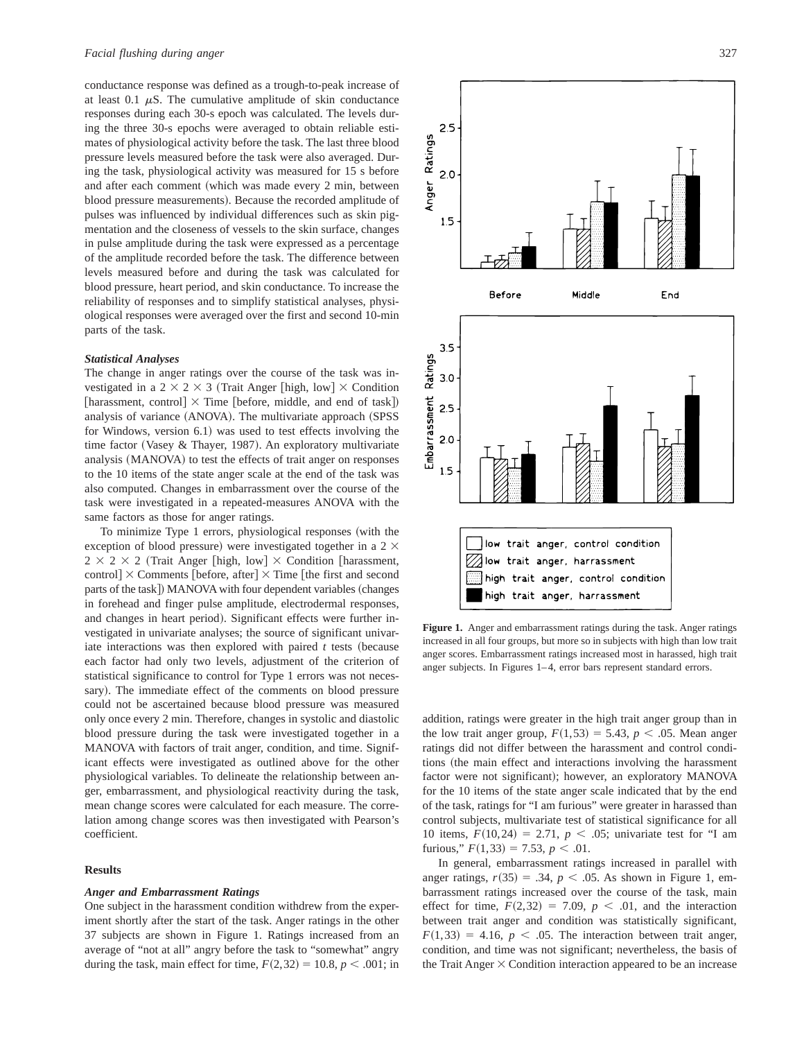conductance response was defined as a trough-to-peak increase of at least 0.1  $\mu$ S. The cumulative amplitude of skin conductance responses during each 30-s epoch was calculated. The levels during the three 30-s epochs were averaged to obtain reliable estimates of physiological activity before the task. The last three blood pressure levels measured before the task were also averaged. During the task, physiological activity was measured for 15 s before and after each comment (which was made every 2 min, between blood pressure measurements). Because the recorded amplitude of pulses was influenced by individual differences such as skin pigmentation and the closeness of vessels to the skin surface, changes in pulse amplitude during the task were expressed as a percentage of the amplitude recorded before the task. The difference between levels measured before and during the task was calculated for blood pressure, heart period, and skin conductance. To increase the reliability of responses and to simplify statistical analyses, physiological responses were averaged over the first and second 10-min parts of the task.

## *Statistical Analyses*

The change in anger ratings over the course of the task was investigated in a  $2 \times 2 \times 3$  (Trait Anger [high, low]  $\times$  Condition [harassment, control]  $\times$  Time [before, middle, and end of task]) analysis of variance (ANOVA). The multivariate approach (SPSS for Windows, version 6.1) was used to test effects involving the time factor (Vasey & Thayer, 1987). An exploratory multivariate analysis (MANOVA) to test the effects of trait anger on responses to the 10 items of the state anger scale at the end of the task was also computed. Changes in embarrassment over the course of the task were investigated in a repeated-measures ANOVA with the same factors as those for anger ratings.

To minimize Type 1 errors, physiological responses (with the exception of blood pressure) were investigated together in a 2  $\times$  $2 \times 2 \times 2$  (Trait Anger [high, low]  $\times$  Condition [harassment, control  $\times$  Comments [before, after  $\times$  Time [the first and second parts of the task $\vert$ ) MANOVA with four dependent variables (changes in forehead and finger pulse amplitude, electrodermal responses, and changes in heart period). Significant effects were further investigated in univariate analyses; the source of significant univariate interactions was then explored with paired  $t$  tests (because each factor had only two levels, adjustment of the criterion of statistical significance to control for Type 1 errors was not necessary). The immediate effect of the comments on blood pressure could not be ascertained because blood pressure was measured only once every 2 min. Therefore, changes in systolic and diastolic blood pressure during the task were investigated together in a MANOVA with factors of trait anger, condition, and time. Significant effects were investigated as outlined above for the other physiological variables. To delineate the relationship between anger, embarrassment, and physiological reactivity during the task, mean change scores were calculated for each measure. The correlation among change scores was then investigated with Pearson's coefficient.

# **Results**

# *Anger and Embarrassment Ratings*

One subject in the harassment condition withdrew from the experiment shortly after the start of the task. Anger ratings in the other 37 subjects are shown in Figure 1. Ratings increased from an average of "not at all" angry before the task to "somewhat" angry during the task, main effect for time,  $F(2,32) = 10.8$ ,  $p < .001$ ; in



Figure 1. Anger and embarrassment ratings during the task. Anger ratings increased in all four groups, but more so in subjects with high than low trait anger scores. Embarrassment ratings increased most in harassed, high trait anger subjects. In Figures 1–4, error bars represent standard errors.

addition, ratings were greater in the high trait anger group than in the low trait anger group,  $F(1,53) = 5.43$ ,  $p < .05$ . Mean anger ratings did not differ between the harassment and control conditions (the main effect and interactions involving the harassment factor were not significant); however, an exploratory MANOVA for the 10 items of the state anger scale indicated that by the end of the task, ratings for "I am furious" were greater in harassed than control subjects, multivariate test of statistical significance for all 10 items,  $F(10,24) = 2.71$ ,  $p < .05$ ; univariate test for "I am furious,"  $F(1,33) = 7.53, p < .01$ .

In general, embarrassment ratings increased in parallel with anger ratings,  $r(35) = .34$ ,  $p < .05$ . As shown in Figure 1, embarrassment ratings increased over the course of the task, main effect for time,  $F(2,32) = 7.09$ ,  $p < .01$ , and the interaction between trait anger and condition was statistically significant,  $F(1,33) = 4.16$ ,  $p < .05$ . The interaction between trait anger, condition, and time was not significant; nevertheless, the basis of the Trait Anger  $\times$  Condition interaction appeared to be an increase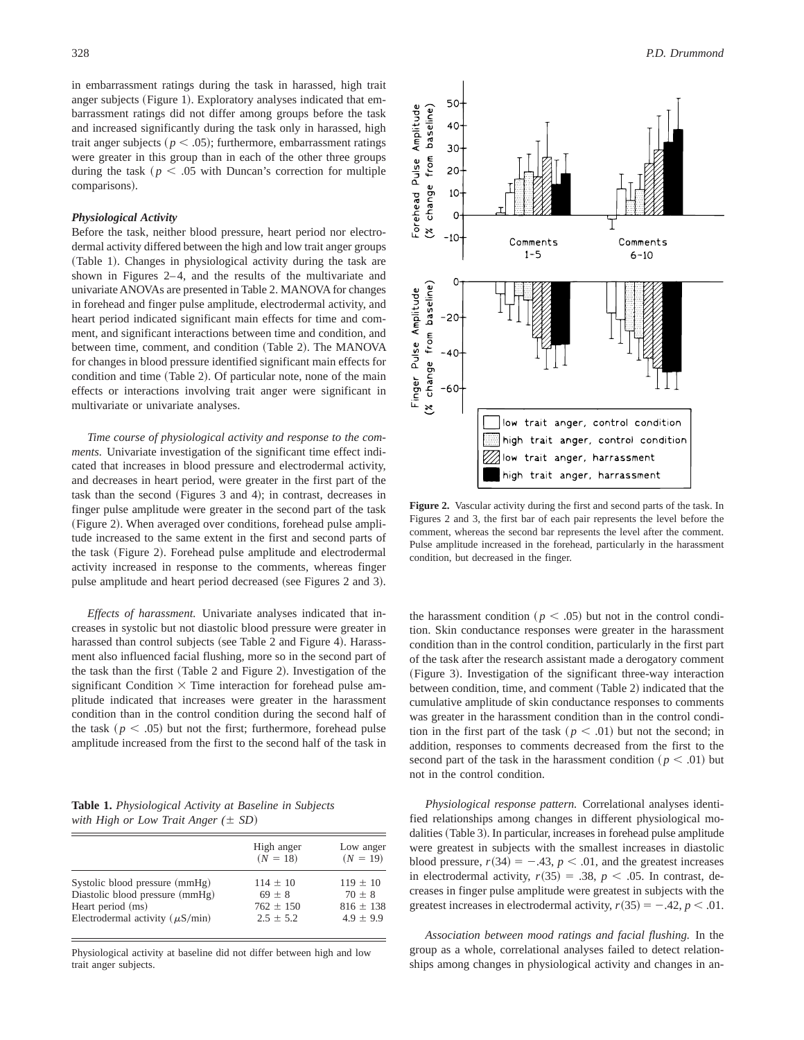in embarrassment ratings during the task in harassed, high trait anger subjects (Figure 1). Exploratory analyses indicated that embarrassment ratings did not differ among groups before the task and increased significantly during the task only in harassed, high trait anger subjects ( $p < .05$ ); furthermore, embarrassment ratings were greater in this group than in each of the other three groups during the task ( $p < .05$  with Duncan's correction for multiple comparisons).

# *Physiological Activity*

Before the task, neither blood pressure, heart period nor electrodermal activity differed between the high and low trait anger groups (Table 1). Changes in physiological activity during the task are shown in Figures 2–4, and the results of the multivariate and univariate ANOVAs are presented in Table 2. MANOVA for changes in forehead and finger pulse amplitude, electrodermal activity, and heart period indicated significant main effects for time and comment, and significant interactions between time and condition, and between time, comment, and condition (Table 2). The MANOVA for changes in blood pressure identified significant main effects for condition and time (Table 2). Of particular note, none of the main effects or interactions involving trait anger were significant in multivariate or univariate analyses.

*Time course of physiological activity and response to the comments.* Univariate investigation of the significant time effect indicated that increases in blood pressure and electrodermal activity, and decreases in heart period, were greater in the first part of the task than the second (Figures  $3$  and  $4$ ); in contrast, decreases in finger pulse amplitude were greater in the second part of the task (Figure 2). When averaged over conditions, forehead pulse amplitude increased to the same extent in the first and second parts of the task (Figure 2). Forehead pulse amplitude and electrodermal activity increased in response to the comments, whereas finger pulse amplitude and heart period decreased (see Figures 2 and 3).

*Effects of harassment.* Univariate analyses indicated that increases in systolic but not diastolic blood pressure were greater in harassed than control subjects (see Table 2 and Figure 4). Harassment also influenced facial flushing, more so in the second part of the task than the first (Table 2 and Figure 2). Investigation of the significant Condition  $\times$  Time interaction for forehead pulse amplitude indicated that increases were greater in the harassment condition than in the control condition during the second half of the task  $(p < .05)$  but not the first; furthermore, forehead pulse amplitude increased from the first to the second half of the task in

**Table 1.** *Physiological Activity at Baseline in Subjects with High or Low Trait Anger*  $(\pm SD)$ 

|                                       | High anger<br>$(N = 18)$ | Low anger<br>$(N = 19)$ |
|---------------------------------------|--------------------------|-------------------------|
| Systolic blood pressure (mmHg)        | $114 \pm 10$             | $119 \pm 10$            |
| Diastolic blood pressure (mmHg)       | $69 \pm 8$               | $70 \pm 8$              |
| Heart period (ms)                     | $762 \pm 150$            | $816 \pm 138$           |
| Electrodermal activity ( $\mu$ S/min) | $2.5 \pm 5.2$            | $4.9 \pm 9.9$           |

Physiological activity at baseline did not differ between high and low trait anger subjects.



**Figure 2.** Vascular activity during the first and second parts of the task. In Figures 2 and 3, the first bar of each pair represents the level before the comment, whereas the second bar represents the level after the comment. Pulse amplitude increased in the forehead, particularly in the harassment condition, but decreased in the finger.

the harassment condition ( $p < .05$ ) but not in the control condition. Skin conductance responses were greater in the harassment condition than in the control condition, particularly in the first part of the task after the research assistant made a derogatory comment (Figure 3). Investigation of the significant three-way interaction between condition, time, and comment (Table 2) indicated that the cumulative amplitude of skin conductance responses to comments was greater in the harassment condition than in the control condition in the first part of the task ( $p < .01$ ) but not the second; in addition, responses to comments decreased from the first to the second part of the task in the harassment condition ( $p < .01$ ) but not in the control condition.

*Physiological response pattern.* Correlational analyses identified relationships among changes in different physiological modalities (Table 3). In particular, increases in forehead pulse amplitude were greatest in subjects with the smallest increases in diastolic blood pressure,  $r(34) = -.43$ ,  $p < .01$ , and the greatest increases in electrodermal activity,  $r(35) = .38$ ,  $p < .05$ . In contrast, decreases in finger pulse amplitude were greatest in subjects with the greatest increases in electrodermal activity,  $r(35) = -.42$ ,  $p < .01$ .

*Association between mood ratings and facial flushing.* In the group as a whole, correlational analyses failed to detect relationships among changes in physiological activity and changes in an-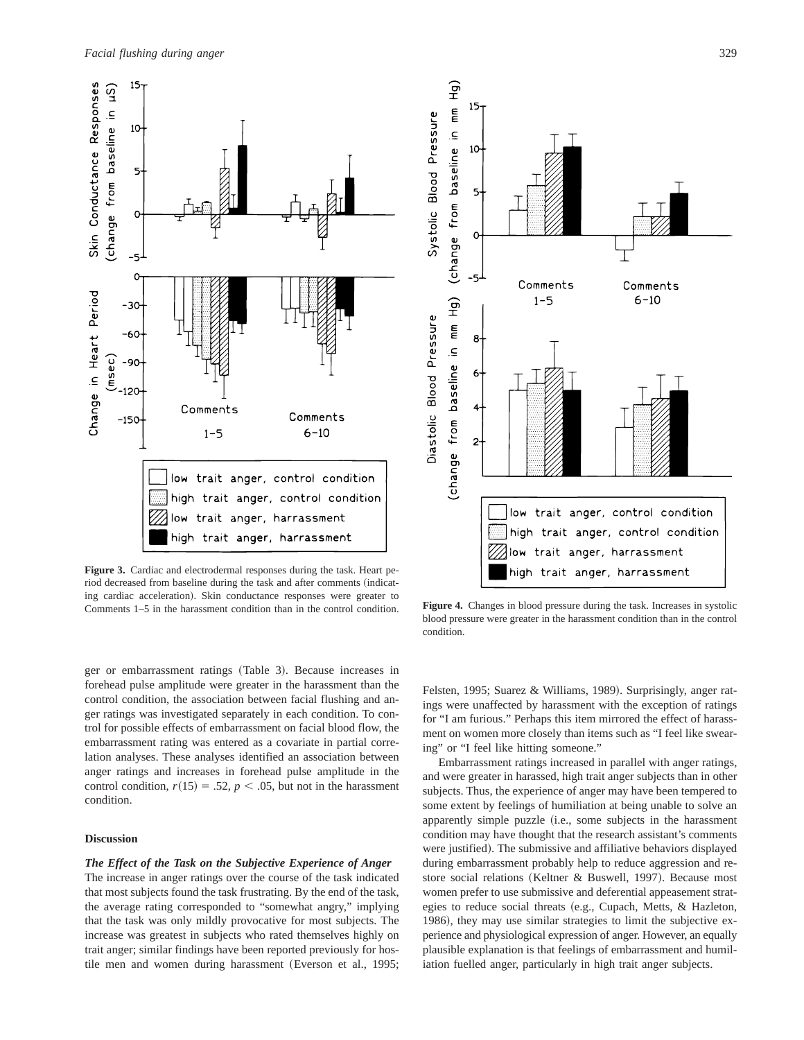

**Figure 3.** Cardiac and electrodermal responses during the task. Heart period decreased from baseline during the task and after comments (indicating cardiac acceleration). Skin conductance responses were greater to Comments 1–5 in the harassment condition than in the control condition. **Figure 4.** Changes in blood pressure during the task. Increases in systolic



# **Discussion**

*The Effect of the Task on the Subjective Experience of Anger* The increase in anger ratings over the course of the task indicated that most subjects found the task frustrating. By the end of the task, the average rating corresponded to "somewhat angry," implying that the task was only mildly provocative for most subjects. The increase was greatest in subjects who rated themselves highly on trait anger; similar findings have been reported previously for hostile men and women during harassment (Everson et al., 1995;



blood pressure were greater in the harassment condition than in the control condition.

Felsten, 1995; Suarez & Williams, 1989). Surprisingly, anger ratings were unaffected by harassment with the exception of ratings for "I am furious." Perhaps this item mirrored the effect of harassment on women more closely than items such as "I feel like swearing" or "I feel like hitting someone."

Embarrassment ratings increased in parallel with anger ratings, and were greater in harassed, high trait anger subjects than in other subjects. Thus, the experience of anger may have been tempered to some extent by feelings of humiliation at being unable to solve an apparently simple puzzle (i.e., some subjects in the harassment condition may have thought that the research assistant's comments were justified). The submissive and affiliative behaviors displayed during embarrassment probably help to reduce aggression and restore social relations (Keltner & Buswell, 1997). Because most women prefer to use submissive and deferential appeasement strategies to reduce social threats (e.g., Cupach, Metts, & Hazleton, 1986), they may use similar strategies to limit the subjective experience and physiological expression of anger. However, an equally plausible explanation is that feelings of embarrassment and humiliation fuelled anger, particularly in high trait anger subjects.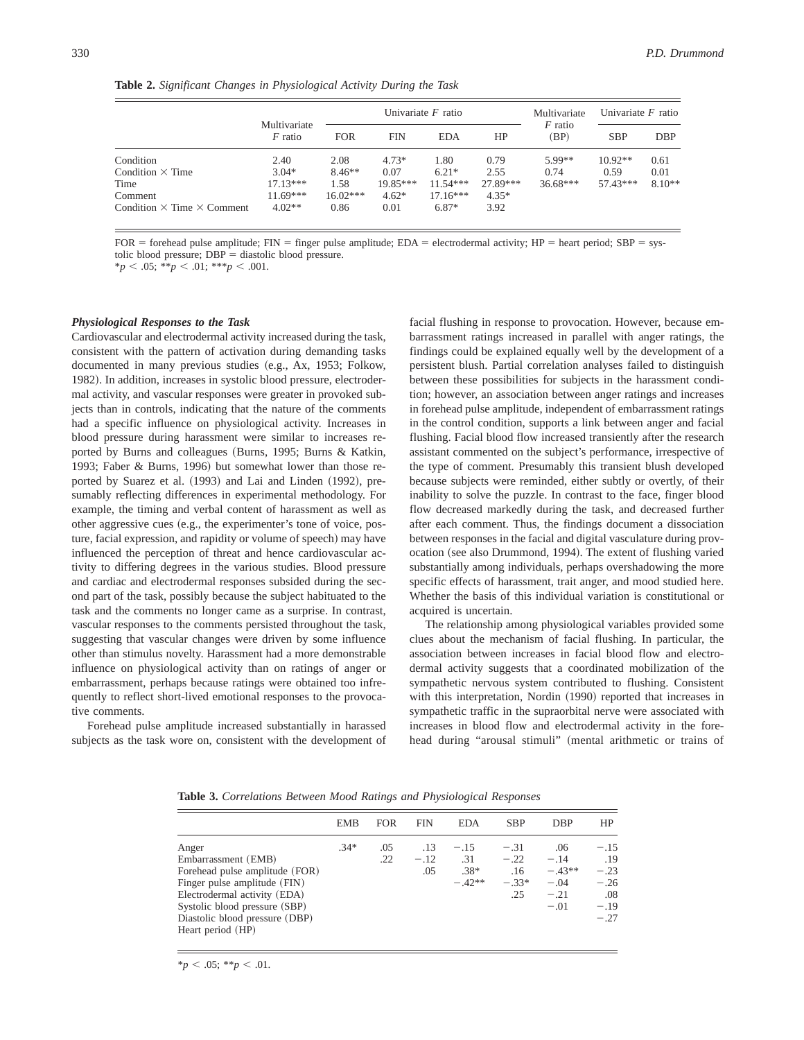**Table 2.** *Significant Changes in Physiological Activity During the Task*

|                                          | Multivariate<br>$F$ ratio | Univariate $F$ ratio |            |            |          | Multivariate    | Univariate $F$ ratio |            |
|------------------------------------------|---------------------------|----------------------|------------|------------|----------|-----------------|----------------------|------------|
|                                          |                           | <b>FOR</b>           | <b>FIN</b> | <b>EDA</b> | HP       | F ratio<br>(BP) | <b>SBP</b>           | <b>DBP</b> |
| Condition                                | 2.40                      | 2.08                 | $4.73*$    | 1.80       | 0.79     | 5.99**          | $10.92**$            | 0.61       |
| Condition $\times$ Time                  | $3.04*$                   | $8.46**$             | 0.07       | $6.21*$    | 2.55     | 0.74            | 0.59                 | 0.01       |
| Time                                     | $17.13***$                | 1.58                 | $19.85***$ | $11.54***$ | 27.89*** | $36.68***$      | $57.43***$           | $8.10**$   |
| Comment                                  | $11.69***$                | $16.02***$           | $4.62*$    | $17.16***$ | $4.35*$  |                 |                      |            |
| Condition $\times$ Time $\times$ Comment | $4.02**$                  | 0.86                 | 0.01       | $6.87*$    | 3.92     |                 |                      |            |

 $FOR =$  forehead pulse amplitude;  $FIN =$  finger pulse amplitude;  $EDA =$  electrodermal activity;  $HP =$  heart period;  $SBP =$  sys-

tolic blood pressure;  $DBP =$  diastolic blood pressure.

 $*_{p}$  < .05; \*\**p* < .01; \*\*\**p* < .001.

## *Physiological Responses to the Task*

Cardiovascular and electrodermal activity increased during the task, consistent with the pattern of activation during demanding tasks documented in many previous studies (e.g., Ax, 1953; Folkow, 1982). In addition, increases in systolic blood pressure, electrodermal activity, and vascular responses were greater in provoked subjects than in controls, indicating that the nature of the comments had a specific influence on physiological activity. Increases in blood pressure during harassment were similar to increases reported by Burns and colleagues (Burns, 1995; Burns & Katkin, 1993; Faber & Burns, 1996) but somewhat lower than those reported by Suarez et al.  $(1993)$  and Lai and Linden  $(1992)$ , presumably reflecting differences in experimental methodology. For example, the timing and verbal content of harassment as well as other aggressive cues (e.g., the experimenter's tone of voice, posture, facial expression, and rapidity or volume of speech) may have influenced the perception of threat and hence cardiovascular activity to differing degrees in the various studies. Blood pressure and cardiac and electrodermal responses subsided during the second part of the task, possibly because the subject habituated to the task and the comments no longer came as a surprise. In contrast, vascular responses to the comments persisted throughout the task, suggesting that vascular changes were driven by some influence other than stimulus novelty. Harassment had a more demonstrable influence on physiological activity than on ratings of anger or embarrassment, perhaps because ratings were obtained too infrequently to reflect short-lived emotional responses to the provocative comments.

Forehead pulse amplitude increased substantially in harassed subjects as the task wore on, consistent with the development of

facial flushing in response to provocation. However, because embarrassment ratings increased in parallel with anger ratings, the findings could be explained equally well by the development of a persistent blush. Partial correlation analyses failed to distinguish between these possibilities for subjects in the harassment condition; however, an association between anger ratings and increases in forehead pulse amplitude, independent of embarrassment ratings in the control condition, supports a link between anger and facial flushing. Facial blood flow increased transiently after the research assistant commented on the subject's performance, irrespective of the type of comment. Presumably this transient blush developed because subjects were reminded, either subtly or overtly, of their inability to solve the puzzle. In contrast to the face, finger blood flow decreased markedly during the task, and decreased further after each comment. Thus, the findings document a dissociation between responses in the facial and digital vasculature during provocation (see also Drummond, 1994). The extent of flushing varied substantially among individuals, perhaps overshadowing the more specific effects of harassment, trait anger, and mood studied here. Whether the basis of this individual variation is constitutional or acquired is uncertain.

The relationship among physiological variables provided some clues about the mechanism of facial flushing. In particular, the association between increases in facial blood flow and electrodermal activity suggests that a coordinated mobilization of the sympathetic nervous system contributed to flushing. Consistent with this interpretation, Nordin (1990) reported that increases in sympathetic traffic in the supraorbital nerve were associated with increases in blood flow and electrodermal activity in the forehead during "arousal stimuli" (mental arithmetic or trains of

**Table 3.** *Correlations Between Mood Ratings and Physiological Responses*

|                                                                                                                                                                                                                        | <b>EMB</b> | <b>FOR</b> | <b>FIN</b>           | <b>EDA</b>                         | <b>SBP</b>                                | <b>DBP</b>                                              | <b>HP</b>                                                    |
|------------------------------------------------------------------------------------------------------------------------------------------------------------------------------------------------------------------------|------------|------------|----------------------|------------------------------------|-------------------------------------------|---------------------------------------------------------|--------------------------------------------------------------|
| Anger<br>Embarrassment (EMB)<br>Forehead pulse amplitude (FOR)<br>Finger pulse amplitude (FIN)<br>Electrodermal activity (EDA)<br>Systolic blood pressure (SBP)<br>Diastolic blood pressure (DBP)<br>Heart period (HP) | $.34*$     | .05<br>.22 | .13<br>$-.12$<br>.05 | $-.15$<br>.31<br>$.38*$<br>$-42**$ | $-.31$<br>$-.22$<br>.16<br>$-.33*$<br>.25 | .06<br>$-.14$<br>$-.43**$<br>$-.04$<br>$-.21$<br>$-.01$ | $-.15$<br>.19<br>$-.23$<br>$-.26$<br>.08<br>$-.19$<br>$-.27$ |

 $*_{p}$  < .05; \*\**p* < .01.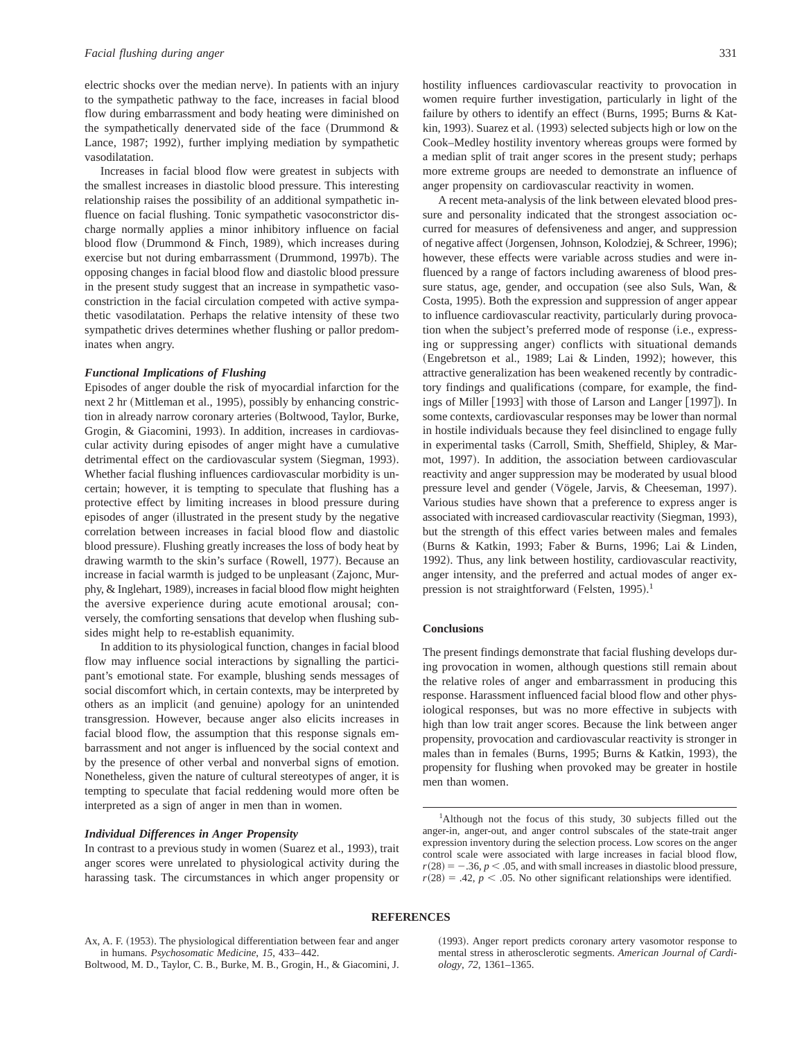electric shocks over the median nerve). In patients with an injury to the sympathetic pathway to the face, increases in facial blood flow during embarrassment and body heating were diminished on the sympathetically denervated side of the face (Drummond  $\&$ Lance, 1987; 1992), further implying mediation by sympathetic vasodilatation.

Increases in facial blood flow were greatest in subjects with the smallest increases in diastolic blood pressure. This interesting relationship raises the possibility of an additional sympathetic influence on facial flushing. Tonic sympathetic vasoconstrictor discharge normally applies a minor inhibitory influence on facial blood flow (Drummond & Finch, 1989), which increases during exercise but not during embarrassment (Drummond, 1997b). The opposing changes in facial blood flow and diastolic blood pressure in the present study suggest that an increase in sympathetic vasoconstriction in the facial circulation competed with active sympathetic vasodilatation. Perhaps the relative intensity of these two sympathetic drives determines whether flushing or pallor predominates when angry.

## *Functional Implications of Flushing*

Episodes of anger double the risk of myocardial infarction for the next 2 hr (Mittleman et al., 1995), possibly by enhancing constriction in already narrow coronary arteries (Boltwood, Taylor, Burke, Grogin, & Giacomini, 1993). In addition, increases in cardiovascular activity during episodes of anger might have a cumulative detrimental effect on the cardiovascular system (Siegman, 1993). Whether facial flushing influences cardiovascular morbidity is uncertain; however, it is tempting to speculate that flushing has a protective effect by limiting increases in blood pressure during episodes of anger (illustrated in the present study by the negative correlation between increases in facial blood flow and diastolic blood pressure). Flushing greatly increases the loss of body heat by drawing warmth to the skin's surface (Rowell, 1977). Because an  $i$  increase in facial warmth is judged to be unpleasant (Zajonc, Murphy, & Inglehart, 1989), increases in facial blood flow might heighten the aversive experience during acute emotional arousal; conversely, the comforting sensations that develop when flushing subsides might help to re-establish equanimity.

In addition to its physiological function, changes in facial blood flow may influence social interactions by signalling the participant's emotional state. For example, blushing sends messages of social discomfort which, in certain contexts, may be interpreted by others as an implicit (and genuine) apology for an unintended transgression. However, because anger also elicits increases in facial blood flow, the assumption that this response signals embarrassment and not anger is influenced by the social context and by the presence of other verbal and nonverbal signs of emotion. Nonetheless, given the nature of cultural stereotypes of anger, it is tempting to speculate that facial reddening would more often be interpreted as a sign of anger in men than in women.

#### *Individual Differences in Anger Propensity*

In contrast to a previous study in women (Suarez et al., 1993), trait anger scores were unrelated to physiological activity during the harassing task. The circumstances in which anger propensity or hostility influences cardiovascular reactivity to provocation in women require further investigation, particularly in light of the failure by others to identify an effect (Burns, 1995; Burns & Katkin, 1993). Suarez et al. (1993) selected subjects high or low on the Cook–Medley hostility inventory whereas groups were formed by a median split of trait anger scores in the present study; perhaps more extreme groups are needed to demonstrate an influence of anger propensity on cardiovascular reactivity in women.

A recent meta-analysis of the link between elevated blood pressure and personality indicated that the strongest association occurred for measures of defensiveness and anger, and suppression of negative affect (Jorgensen, Johnson, Kolodziej, & Schreer, 1996); however, these effects were variable across studies and were influenced by a range of factors including awareness of blood pressure status, age, gender, and occupation (see also Suls, Wan, & Costa, 1995). Both the expression and suppression of anger appear to influence cardiovascular reactivity, particularly during provocation when the subject's preferred mode of response (i.e., expressing or suppressing anger) conflicts with situational demands (Engebretson et al., 1989; Lai & Linden, 1992); however, this attractive generalization has been weakened recently by contradictory findings and qualifications (compare, for example, the findings of Miller  $[1993]$  with those of Larson and Langer  $[1997]$ . In some contexts, cardiovascular responses may be lower than normal in hostile individuals because they feel disinclined to engage fully in experimental tasks (Carroll, Smith, Sheffield, Shipley, & Marmot, 1997). In addition, the association between cardiovascular reactivity and anger suppression may be moderated by usual blood pressure level and gender (Vögele, Jarvis, & Cheeseman, 1997). Various studies have shown that a preference to express anger is associated with increased cardiovascular reactivity (Siegman, 1993), but the strength of this effect varies between males and females (Burns & Katkin, 1993; Faber & Burns, 1996; Lai & Linden, 1992). Thus, any link between hostility, cardiovascular reactivity, anger intensity, and the preferred and actual modes of anger expression is not straightforward (Felsten, 1995).<sup>1</sup>

# **Conclusions**

The present findings demonstrate that facial flushing develops during provocation in women, although questions still remain about the relative roles of anger and embarrassment in producing this response. Harassment influenced facial blood flow and other physiological responses, but was no more effective in subjects with high than low trait anger scores. Because the link between anger propensity, provocation and cardiovascular reactivity is stronger in males than in females (Burns, 1995; Burns & Katkin, 1993), the propensity for flushing when provoked may be greater in hostile men than women.

## **REFERENCES**

Ax, A. F. (1953). The physiological differentiation between fear and anger in humans. *Psychosomatic Medicine*, *15*, 433–442.

Boltwood, M. D., Taylor, C. B., Burke, M. B., Grogin, H., & Giacomini, J.

(1993). Anger report predicts coronary artery vasomotor response to mental stress in atherosclerotic segments. *American Journal of Cardiology*, *72*, 1361–1365.

<sup>&</sup>lt;sup>1</sup>Although not the focus of this study, 30 subjects filled out the anger-in, anger-out, and anger control subscales of the state-trait anger expression inventory during the selection process. Low scores on the anger control scale were associated with large increases in facial blood flow,  $r(28) = -.36, p < .05$ , and with small increases in diastolic blood pressure,  $r(28) = .42$ ,  $p < .05$ . No other significant relationships were identified.